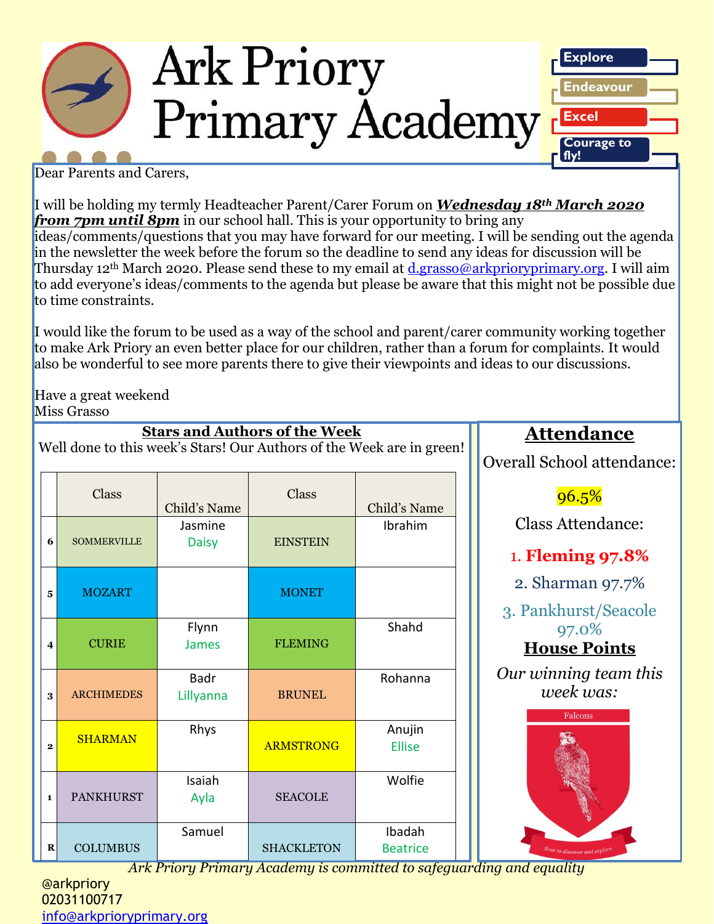

Dear Parents and Carers,

I will be holding my termly Headteacher Parent/Carer Forum on *Wednesday 18th March 2020 from 7pm until 8pm* in our school hall. This is your opportunity to bring any ideas/comments/questions that you may have forward for our meeting. I will be sending out the agenda in the newsletter the week before the forum so the deadline to send any ideas for discussion will be Thursday 12<sup>th</sup> March 2020. Please send these to my email at *d.grasso@arkprioryprimary.org*. I will aim to add everyone's ideas/comments to the agenda but please be aware that this might not be possible due to time constraints.

I would like the forum to be used as a way of the school and parent/carer community working together to make Ark Priory an even better place for our children, rather than a forum for complaints. It would also be wonderful to see more parents there to give their viewpoints and ideas to our discussions.

Have a great weekend Miss Grasso

|              | <u>Stars and Authors of the Week</u><br>Well done to this week's Stars! Our Authors of the Week are in green! |                          |                   |                                                                                 |  |  |  |
|--------------|---------------------------------------------------------------------------------------------------------------|--------------------------|-------------------|---------------------------------------------------------------------------------|--|--|--|
|              | Class                                                                                                         | Child's Name             | Class             | Child's Name                                                                    |  |  |  |
| 6            | <b>SOMMERVILLE</b>                                                                                            | Jasmine<br><b>Daisy</b>  | <b>EINSTEIN</b>   | Ibrahim                                                                         |  |  |  |
| 5            | <b>MOZART</b>                                                                                                 |                          | <b>MONET</b>      |                                                                                 |  |  |  |
| 4            | <b>CURIE</b>                                                                                                  | Flynn<br><b>James</b>    | <b>FLEMING</b>    | Shahd                                                                           |  |  |  |
| 3            | <b>ARCHIMEDES</b>                                                                                             | <b>Badr</b><br>Lillyanna | <b>BRUNEL</b>     | Rohanna                                                                         |  |  |  |
| $\mathbf{2}$ | <b>SHARMAN</b>                                                                                                | Rhys                     | <b>ARMSTRONG</b>  | Anujin<br><b>Ellise</b>                                                         |  |  |  |
| $\mathbf{1}$ | <b>PANKHURST</b>                                                                                              | Isaiah<br>Ayla           | <b>SEACOLE</b>    | Wolfie                                                                          |  |  |  |
| $\bf R$      | <b>COLUMBUS</b>                                                                                               | Samuel                   | <b>SHACKLETON</b> | Ibadah<br><b>Beatrice</b><br>Ank Driam, Drimam, Academy is committed to estegue |  |  |  |

**Stars and Authors of the Week**

## **Attendance**

Overall School attendance:

 $96.5%$ 

Class Attendance:

1. **Fleming 97.8%**

2. Sharman 97.7%

3. Pankhurst/Seacole 97.0%

**House Points**

*Our winning team this week was:*



*Ark Priory Primary Academy is committed to safeguarding and equality* 

@arkpriory 02031100717 [info@arkprioryprimary.org](mailto:info@arkprioryprimary.org)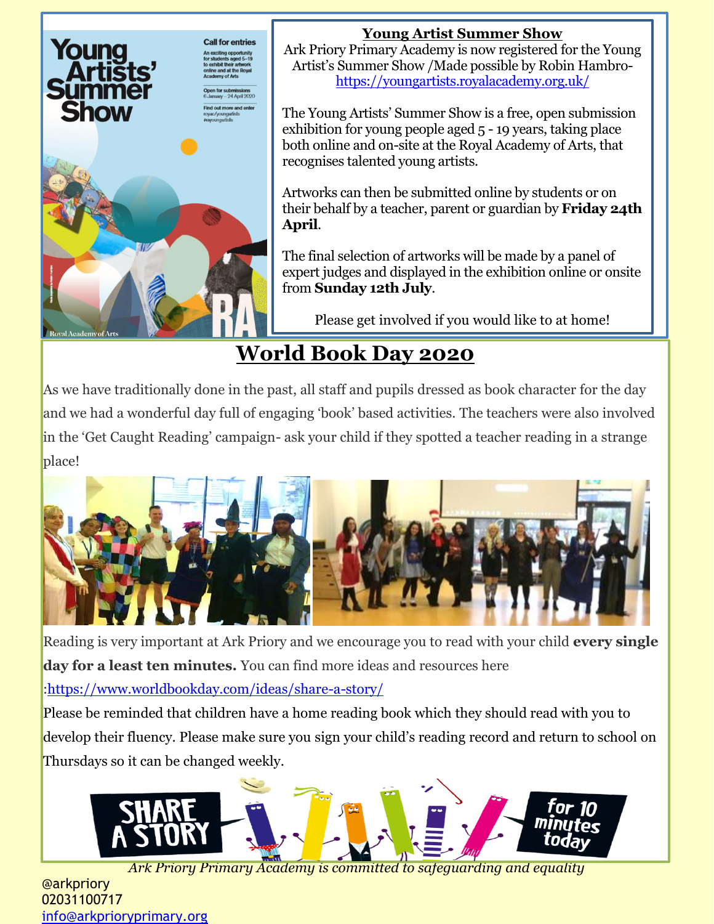

### **Young Artist Summer Show**

Ark Priory Primary Academy is now registered for the Young Artist's Summer Show /Made possible by Robin Hambro<https://youngartists.royalacademy.org.uk/>

The Young Artists' Summer Show is a free, open submission exhibition for young people aged 5 - 19 years, taking place both online and on-site at the Royal Academy of Arts, that recognises talented young artists.

Artworks can then be submitted online by students or on their behalf by a teacher, parent or guardian by **Friday 24th April**.

The final selection of artworks will be made by a panel of expert judges and displayed in the exhibition online or onsite from **Sunday 12th July**.

Please get involved if you would like to at home!

## **World Book Day 2020**

As we have traditionally done in the past, all staff and pupils dressed as book character for the day and we had a wonderful day full of engaging 'book' based activities. The teachers were also involved in the 'Get Caught Reading' campaign- ask your child if they spotted a teacher reading in a strange place!



Reading is very important at Ark Priory and we encourage you to read with your child **every single day for a least ten minutes.** You can find more ideas and resources here

[:https://www.worldbookday.com/ideas/share-a-story/](https://www.worldbookday.com/ideas/share-a-story/)

Please be reminded that children have a home reading book which they should read with you to develop their fluency. Please make sure you sign your child's reading record and return to school on Thursdays so it can be changed weekly.



*Ark Priory Primary Academy is committed to safeguarding and equality* 

@arkpriory 02031100717 [info@arkprioryprimary.org](mailto:info@arkprioryprimary.org)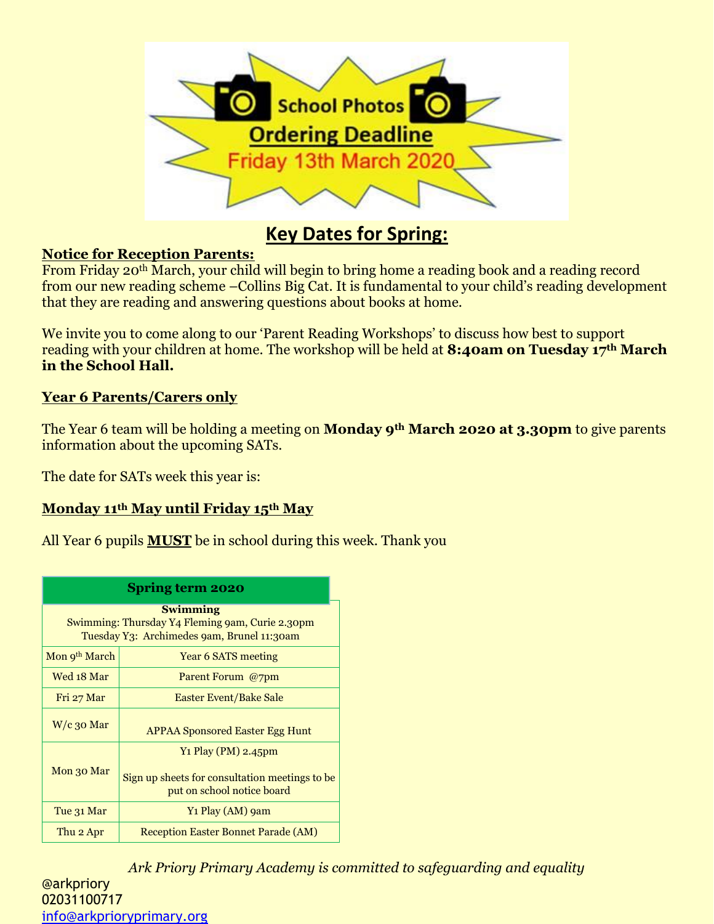

### **Key Dates for Spring:**

### **Notice for Reception Parents:**

From Friday 20th March, your child will begin to bring home a reading book and a reading record from our new reading scheme –Collins Big Cat. It is fundamental to your child's reading development that they are reading and answering questions about books at home.

We invite you to come along to our 'Parent Reading Workshops' to discuss how best to support reading with your children at home. The workshop will be held at **8:40am on Tuesday 17th March in the School Hall.**

### **Year 6 Parents/Carers only**

The Year 6 team will be holding a meeting on **Monday 9th March 2020 at 3.30pm** to give parents information about the upcoming SATs.

The date for SATs week this year is:

### **Monday 11th May until Friday 15th May**

All Year 6 pupils **MUST** be in school during this week. Thank you

| <b>Spring term 2020</b>                                                                                          |                                                                                                     |  |  |  |  |
|------------------------------------------------------------------------------------------------------------------|-----------------------------------------------------------------------------------------------------|--|--|--|--|
| <b>Swimming</b><br>Swimming: Thursday Y4 Fleming 9am, Curie 2.30pm<br>Tuesday Y3: Archimedes 9am, Brunel 11:30am |                                                                                                     |  |  |  |  |
| Mon 9 <sup>th</sup> March                                                                                        | Year 6 SATS meeting                                                                                 |  |  |  |  |
| Wed 18 Mar                                                                                                       | Parent Forum @7pm                                                                                   |  |  |  |  |
| Fri 27 Mar                                                                                                       | Easter Event/Bake Sale                                                                              |  |  |  |  |
| $W/c$ 30 Mar                                                                                                     | <b>APPAA Sponsored Easter Egg Hunt</b>                                                              |  |  |  |  |
| Mon 30 Mar                                                                                                       | Y1 Play (PM) 2.45pm<br>Sign up sheets for consultation meetings to be<br>put on school notice board |  |  |  |  |
| Y1 Play (AM) 9am<br>Tue 31 Mar                                                                                   |                                                                                                     |  |  |  |  |
| Thu 2 Apr                                                                                                        | <b>Reception Easter Bonnet Parade (AM)</b>                                                          |  |  |  |  |

*Ark Priory Primary Academy is committed to safeguarding and equality*  @arkpriory 02031100717 [info@arkprioryprimary.org](mailto:info@arkprioryprimary.org)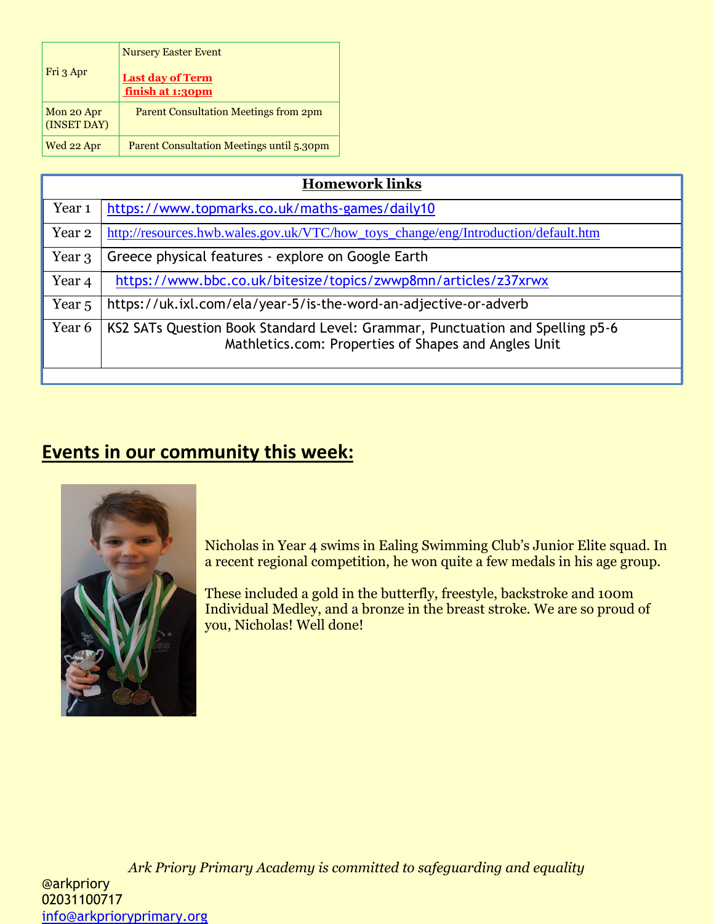| Fri 3 Apr                 | <b>Nursery Easter Event</b><br><b>Last day of Term</b><br>finish at 1:30pm |  |
|---------------------------|----------------------------------------------------------------------------|--|
| Mon 20 Apr<br>(INSET DAY) | <b>Parent Consultation Meetings from 2pm</b>                               |  |
| Wed 22 Apr                | <b>Parent Consultation Meetings until 5.30pm</b>                           |  |

| <b>Homework links</b> |                                                                                                                                       |  |  |  |
|-----------------------|---------------------------------------------------------------------------------------------------------------------------------------|--|--|--|
| Year <sub>1</sub>     | https://www.topmarks.co.uk/maths-games/daily10                                                                                        |  |  |  |
| Year 2                | http://resources.hwb.wales.gov.uk/VTC/how_toys_change/eng/Introduction/default.htm                                                    |  |  |  |
| Year 3                | Greece physical features - explore on Google Earth                                                                                    |  |  |  |
| Year <sub>4</sub>     | https://www.bbc.co.uk/bitesize/topics/zwwp8mn/articles/z37xrwx                                                                        |  |  |  |
| Year <sub>5</sub>     | https://uk.ixl.com/ela/year-5/is-the-word-an-adjective-or-adverb                                                                      |  |  |  |
| Year 6                | KS2 SATs Question Book Standard Level: Grammar, Punctuation and Spelling p5-6<br>Mathletics.com: Properties of Shapes and Angles Unit |  |  |  |

## **Events in our community this week:**



Nicholas in Year 4 swims in Ealing Swimming Club's Junior Elite squad. In a recent regional competition, he won quite a few medals in his age group.

These included a gold in the butterfly, freestyle, backstroke and 100m Individual Medley, and a bronze in the breast stroke. We are so proud of you, Nicholas! Well done!